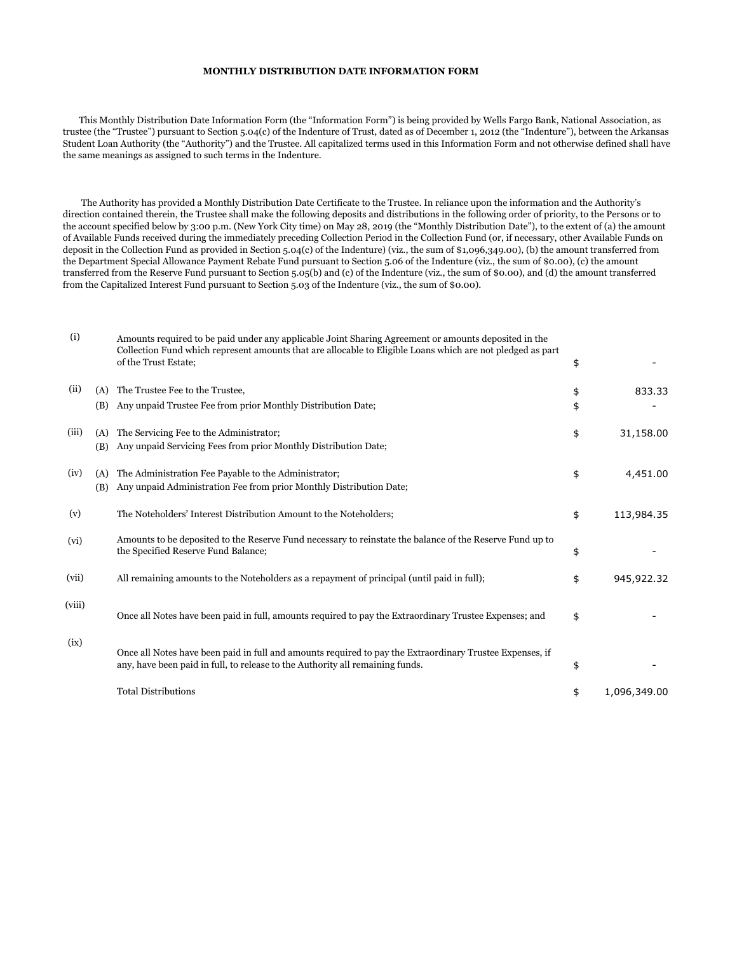## **MONTHLY DISTRIBUTION DATE INFORMATION FORM**

 This Monthly Distribution Date Information Form (the "Information Form") is being provided by Wells Fargo Bank, National Association, as trustee (the "Trustee") pursuant to Section 5.04(c) of the Indenture of Trust, dated as of December 1, 2012 (the "Indenture"), between the Arkansas Student Loan Authority (the "Authority") and the Trustee. All capitalized terms used in this Information Form and not otherwise defined shall have the same meanings as assigned to such terms in the Indenture.

 The Authority has provided a Monthly Distribution Date Certificate to the Trustee. In reliance upon the information and the Authority's direction contained therein, the Trustee shall make the following deposits and distributions in the following order of priority, to the Persons or to the account specified below by 3:00 p.m. (New York City time) on May 28, 2019 (the "Monthly Distribution Date"), to the extent of (a) the amount of Available Funds received during the immediately preceding Collection Period in the Collection Fund (or, if necessary, other Available Funds on deposit in the Collection Fund as provided in Section 5.04(c) of the Indenture) (viz., the sum of \$1,096,349.00), (b) the amount transferred from the Department Special Allowance Payment Rebate Fund pursuant to Section 5.06 of the Indenture (viz., the sum of \$0.00), (c) the amount transferred from the Reserve Fund pursuant to Section 5.05(b) and (c) of the Indenture (viz., the sum of \$0.00), and (d) the amount transferred from the Capitalized Interest Fund pursuant to Section 5.03 of the Indenture (viz., the sum of \$0.00).

| (i)    |            | Amounts required to be paid under any applicable Joint Sharing Agreement or amounts deposited in the<br>Collection Fund which represent amounts that are allocable to Eligible Loans which are not pledged as part<br>of the Trust Estate; | \$       |              |
|--------|------------|--------------------------------------------------------------------------------------------------------------------------------------------------------------------------------------------------------------------------------------------|----------|--------------|
| (ii)   | (A)<br>(B) | The Trustee Fee to the Trustee,<br>Any unpaid Trustee Fee from prior Monthly Distribution Date;                                                                                                                                            | \$<br>\$ | 833.33       |
| (iii)  | (A)<br>(B) | The Servicing Fee to the Administrator;<br>Any unpaid Servicing Fees from prior Monthly Distribution Date;                                                                                                                                 | \$       | 31,158.00    |
| (iv)   | (A)<br>(B) | The Administration Fee Payable to the Administrator;<br>Any unpaid Administration Fee from prior Monthly Distribution Date;                                                                                                                | \$       | 4,451.00     |
| (v)    |            | The Noteholders' Interest Distribution Amount to the Noteholders;                                                                                                                                                                          | \$       | 113,984.35   |
| (vi)   |            | Amounts to be deposited to the Reserve Fund necessary to reinstate the balance of the Reserve Fund up to<br>the Specified Reserve Fund Balance;                                                                                            | \$       |              |
| (vii)  |            | All remaining amounts to the Noteholders as a repayment of principal (until paid in full);                                                                                                                                                 | \$       | 945,922.32   |
| (viii) |            | Once all Notes have been paid in full, amounts required to pay the Extraordinary Trustee Expenses; and                                                                                                                                     | \$       |              |
| (ix)   |            | Once all Notes have been paid in full and amounts required to pay the Extraordinary Trustee Expenses, if<br>any, have been paid in full, to release to the Authority all remaining funds.                                                  | \$       |              |
|        |            | <b>Total Distributions</b>                                                                                                                                                                                                                 | \$       | 1,096,349.00 |